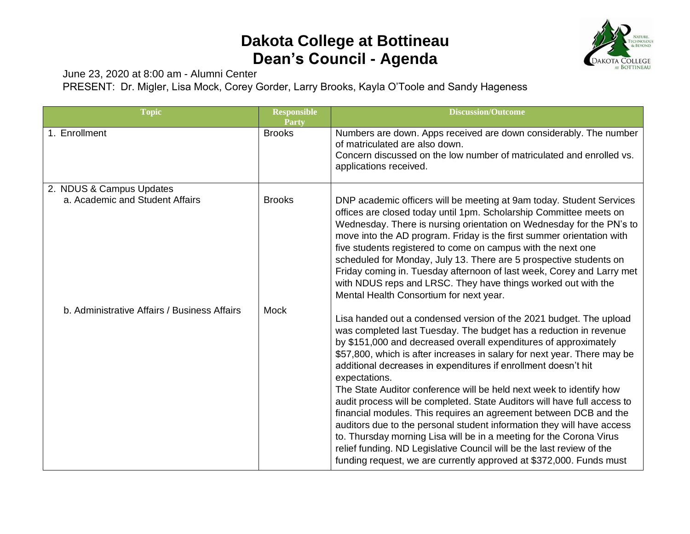## **Dakota College at Bottineau Dean's Council - Agenda**



June 23, 2020 at 8:00 am - Alumni Center

PRESENT: Dr. Migler, Lisa Mock, Corey Gorder, Larry Brooks, Kayla O'Toole and Sandy Hageness

| <b>Topic</b>                                                | <b>Responsible</b><br>Party | <b>Discussion/Outcome</b>                                                                                                                                                                                                                                                                                                                                                                                                                                                                                                                                                                                                                                                                                                                                                                                                                                                                           |
|-------------------------------------------------------------|-----------------------------|-----------------------------------------------------------------------------------------------------------------------------------------------------------------------------------------------------------------------------------------------------------------------------------------------------------------------------------------------------------------------------------------------------------------------------------------------------------------------------------------------------------------------------------------------------------------------------------------------------------------------------------------------------------------------------------------------------------------------------------------------------------------------------------------------------------------------------------------------------------------------------------------------------|
| 1. Enrollment                                               | <b>Brooks</b>               | Numbers are down. Apps received are down considerably. The number<br>of matriculated are also down.<br>Concern discussed on the low number of matriculated and enrolled vs.<br>applications received.                                                                                                                                                                                                                                                                                                                                                                                                                                                                                                                                                                                                                                                                                               |
| 2. NDUS & Campus Updates<br>a. Academic and Student Affairs | <b>Brooks</b>               | DNP academic officers will be meeting at 9am today. Student Services<br>offices are closed today until 1pm. Scholarship Committee meets on<br>Wednesday. There is nursing orientation on Wednesday for the PN's to<br>move into the AD program. Friday is the first summer orientation with<br>five students registered to come on campus with the next one<br>scheduled for Monday, July 13. There are 5 prospective students on<br>Friday coming in. Tuesday afternoon of last week, Corey and Larry met<br>with NDUS reps and LRSC. They have things worked out with the<br>Mental Health Consortium for next year.                                                                                                                                                                                                                                                                              |
| b. Administrative Affairs / Business Affairs                | Mock                        | Lisa handed out a condensed version of the 2021 budget. The upload<br>was completed last Tuesday. The budget has a reduction in revenue<br>by \$151,000 and decreased overall expenditures of approximately<br>\$57,800, which is after increases in salary for next year. There may be<br>additional decreases in expenditures if enrollment doesn't hit<br>expectations.<br>The State Auditor conference will be held next week to identify how<br>audit process will be completed. State Auditors will have full access to<br>financial modules. This requires an agreement between DCB and the<br>auditors due to the personal student information they will have access<br>to. Thursday morning Lisa will be in a meeting for the Corona Virus<br>relief funding. ND Legislative Council will be the last review of the<br>funding request, we are currently approved at \$372,000. Funds must |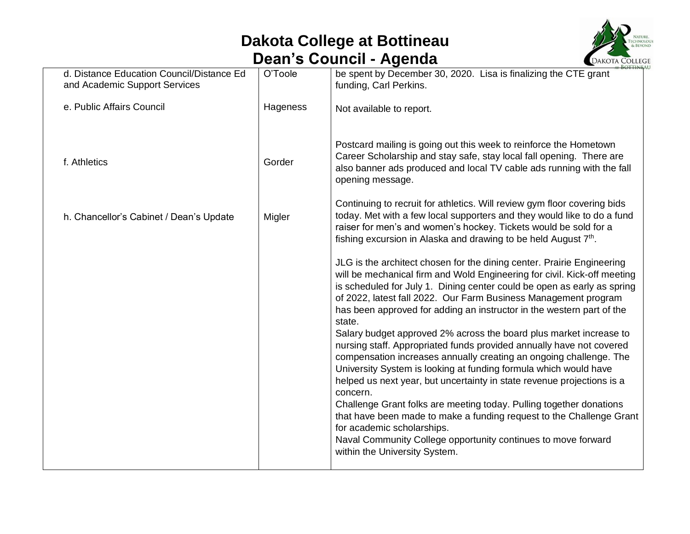## **Dakota College at Bottineau Dean's Council - Agenda**



| d. Distance Education Council/Distance Ed<br>and Academic Support Services | O'Toole  | be spent by December 30, 2020. Lisa is finalizing the CTE grant<br>funding, Carl Perkins.                                                                                                                                                                                                                                                                                                                                                                                                                                                                                                                                                                                                                                                                                                                                                                                                                                                                                                                                                        |
|----------------------------------------------------------------------------|----------|--------------------------------------------------------------------------------------------------------------------------------------------------------------------------------------------------------------------------------------------------------------------------------------------------------------------------------------------------------------------------------------------------------------------------------------------------------------------------------------------------------------------------------------------------------------------------------------------------------------------------------------------------------------------------------------------------------------------------------------------------------------------------------------------------------------------------------------------------------------------------------------------------------------------------------------------------------------------------------------------------------------------------------------------------|
| e. Public Affairs Council                                                  | Hageness | Not available to report.                                                                                                                                                                                                                                                                                                                                                                                                                                                                                                                                                                                                                                                                                                                                                                                                                                                                                                                                                                                                                         |
| f. Athletics                                                               | Gorder   | Postcard mailing is going out this week to reinforce the Hometown<br>Career Scholarship and stay safe, stay local fall opening. There are<br>also banner ads produced and local TV cable ads running with the fall<br>opening message.                                                                                                                                                                                                                                                                                                                                                                                                                                                                                                                                                                                                                                                                                                                                                                                                           |
| h. Chancellor's Cabinet / Dean's Update                                    | Migler   | Continuing to recruit for athletics. Will review gym floor covering bids<br>today. Met with a few local supporters and they would like to do a fund<br>raiser for men's and women's hockey. Tickets would be sold for a<br>fishing excursion in Alaska and drawing to be held August 7 <sup>th</sup> .                                                                                                                                                                                                                                                                                                                                                                                                                                                                                                                                                                                                                                                                                                                                           |
|                                                                            |          | JLG is the architect chosen for the dining center. Prairie Engineering<br>will be mechanical firm and Wold Engineering for civil. Kick-off meeting<br>is scheduled for July 1. Dining center could be open as early as spring<br>of 2022, latest fall 2022. Our Farm Business Management program<br>has been approved for adding an instructor in the western part of the<br>state.<br>Salary budget approved 2% across the board plus market increase to<br>nursing staff. Appropriated funds provided annually have not covered<br>compensation increases annually creating an ongoing challenge. The<br>University System is looking at funding formula which would have<br>helped us next year, but uncertainty in state revenue projections is a<br>concern.<br>Challenge Grant folks are meeting today. Pulling together donations<br>that have been made to make a funding request to the Challenge Grant<br>for academic scholarships.<br>Naval Community College opportunity continues to move forward<br>within the University System. |